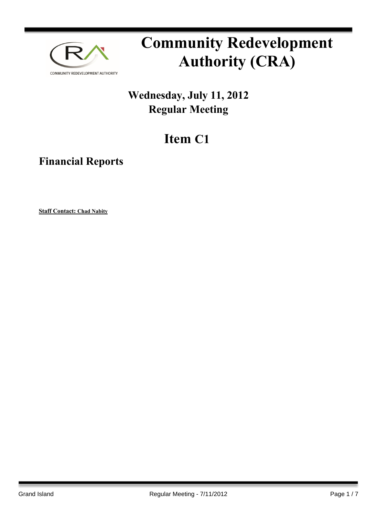

# **Community Redevelopment Authority (CRA)**

### **Wednesday, July 11, 2012 Regular Meeting**

## **Item C1**

**Financial Reports**

**Staff Contact: Chad Nabity**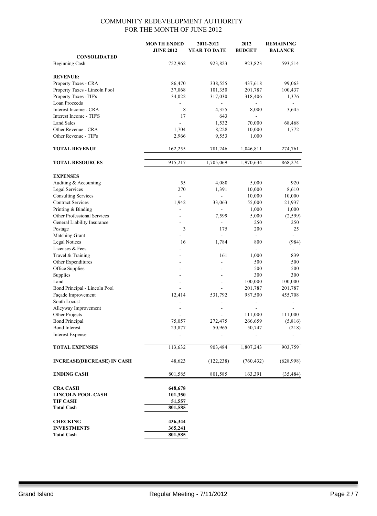|                                         | <b>MONTH ENDED</b><br><b>JUNE 2012</b> | 2011-2012<br><b>YEAR TO DATE</b> | 2012<br><b>BUDGET</b>     | <b>REMAINING</b><br><b>BALANCE</b> |
|-----------------------------------------|----------------------------------------|----------------------------------|---------------------------|------------------------------------|
| <b>CONSOLIDATED</b>                     |                                        |                                  |                           |                                    |
| <b>Beginning Cash</b>                   | 752,962                                | 923,823                          | 923,823                   | 593,514                            |
|                                         |                                        |                                  |                           |                                    |
| <b>REVENUE:</b><br>Property Taxes - CRA | 86,470                                 | 338,555                          | 437,618                   | 99,063                             |
|                                         |                                        |                                  |                           |                                    |
| Property Taxes - Lincoln Pool           | 37,068                                 | 101,350                          | 201,787                   | 100,437                            |
| Property Taxes -TIF's<br>Loan Proceeds  | 34,022                                 | 317,030                          | 318,406<br>$\overline{a}$ | 1,376<br>÷.                        |
| Interest Income - CRA                   | 8                                      |                                  | 8,000                     | 3,645                              |
| Interest Income - TIF'S                 | 17                                     | 4,355<br>643                     |                           |                                    |
| <b>Land Sales</b>                       |                                        | 1,532                            |                           |                                    |
| Other Revenue - CRA                     | 1,704                                  | 8,228                            | 70,000<br>10,000          | 68,468<br>1,772                    |
| Other Revenue - TIF's                   |                                        |                                  |                           |                                    |
|                                         | 2,966                                  | 9,553                            | 1,000                     |                                    |
| <b>TOTAL REVENUE</b>                    | 162,255                                | 781,246                          | 1,046,811                 | 274,761                            |
| <b>TOTAL RESOURCES</b>                  | 915,217                                | 1,705,069                        | 1,970,634                 | 868,274                            |
|                                         |                                        |                                  |                           |                                    |
| <b>EXPENSES</b>                         |                                        |                                  |                           |                                    |
| Auditing & Accounting                   | 55                                     | 4,080                            | 5,000                     | 920                                |
| <b>Legal Services</b>                   | 270                                    | 1,391                            | 10,000                    | 8,610                              |
| <b>Consulting Services</b>              | $\blacksquare$                         | $\blacksquare$                   | 10,000                    | 10,000                             |
| <b>Contract Services</b>                | 1,942                                  | 33,063                           | 55,000                    | 21,937                             |
| Printing & Binding                      |                                        |                                  | 1,000                     | 1,000                              |
| Other Professional Services             |                                        | 7,599                            | 5,000                     | (2,599)                            |
| General Liability Insurance             |                                        |                                  | 250                       | 250                                |
| Postage                                 | 3                                      | 175                              | 200                       | 25                                 |
| Matching Grant                          |                                        |                                  | $\mathbf{r}$              |                                    |
| <b>Legal Notices</b>                    | 16                                     | 1,784                            | 800                       | (984)                              |
| Licenses & Fees                         |                                        | $\blacksquare$                   | $\blacksquare$            |                                    |
| Travel & Training                       |                                        | 161                              | 1,000                     | 839                                |
| Other Expenditures                      |                                        |                                  | 500                       | 500                                |
| Office Supplies                         |                                        |                                  | 500                       | 500                                |
| Supplies                                |                                        |                                  | 300                       | 300                                |
| Land                                    | ٠                                      | $\blacksquare$                   | 100,000                   | 100,000                            |
| Bond Principal - Lincoln Pool           |                                        |                                  | 201,787                   | 201,787                            |
| Façade Improvement                      | 12,414                                 | 531,792                          | 987,500                   | 455,708                            |
| South Locust                            |                                        |                                  |                           |                                    |
| Alleyway Improvement                    |                                        |                                  |                           |                                    |
| Other Projects                          |                                        |                                  | 111,000                   | 111,000                            |
| <b>Bond Principal</b>                   | 75,057                                 | 272,475                          | 266,659                   | (5, 816)                           |
| <b>Bond Interest</b>                    | 23,877                                 | 50,965                           | 50,747                    | (218)                              |
| <b>Interest Expense</b>                 |                                        |                                  |                           |                                    |
| <b>TOTAL EXPENSES</b>                   | 113,632                                | 903,484                          | 1,807,243                 | 903,759                            |
|                                         |                                        |                                  |                           |                                    |
| <b>INCREASE(DECREASE) IN CASH</b>       | 48,623                                 | (122, 238)                       | (760, 432)                | (628,998)                          |
| <b>ENDING CASH</b>                      | 801,585                                | 801,585                          | 163,391                   | (35, 484)                          |
| <b>CRA CASH</b>                         | 648,678                                |                                  |                           |                                    |
| <b>LINCOLN POOL CASH</b>                | 101,350                                |                                  |                           |                                    |
| <b>TIF CASH</b>                         | 51,557                                 |                                  |                           |                                    |
| <b>Total Cash</b>                       | 801,585                                |                                  |                           |                                    |
|                                         |                                        |                                  |                           |                                    |
| <b>CHECKING</b>                         | 436,344                                |                                  |                           |                                    |
| <b>INVESTMENTS</b>                      | 365,241                                |                                  |                           |                                    |
| <b>Total Cash</b>                       | 801,585                                |                                  |                           |                                    |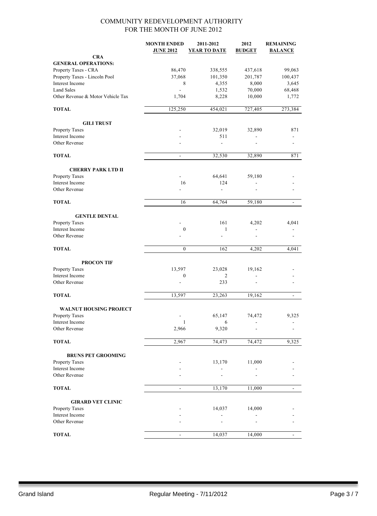|                                                  | <b>MONTH ENDED</b><br><b>JUNE 2012</b> | 2011-2012<br><b>YEAR TO DATE</b> | 2012<br><b>BUDGET</b>    | <b>REMAINING</b><br><b>BALANCE</b> |
|--------------------------------------------------|----------------------------------------|----------------------------------|--------------------------|------------------------------------|
| <b>CRA</b>                                       |                                        |                                  |                          |                                    |
| <b>GENERAL OPERATIONS:</b>                       |                                        |                                  |                          |                                    |
| Property Taxes - CRA                             | 86,470                                 | 338,555                          | 437,618                  | 99,063                             |
| Property Taxes - Lincoln Pool<br>Interest Income | 37,068                                 | 101,350                          | 201,787                  | 100,437                            |
| <b>Land Sales</b>                                | 8                                      | 4,355                            | 8,000                    | 3,645                              |
| Other Revenue & Motor Vehicle Tax                | 1,704                                  | 1,532<br>8,228                   | 70,000<br>10,000         | 68,468<br>1,772                    |
| <b>TOTAL</b>                                     | 125,250                                | 454,021                          | 727,405                  | 273,384                            |
|                                                  |                                        |                                  |                          |                                    |
| <b>GILI TRUST</b>                                |                                        |                                  |                          |                                    |
| Property Taxes                                   |                                        | 32,019                           | 32,890                   | 871                                |
| Interest Income                                  |                                        | 511                              |                          |                                    |
| Other Revenue                                    |                                        | $\overline{\phantom{a}}$         |                          |                                    |
| <b>TOTAL</b>                                     | $\overline{\phantom{a}}$               | 32,530                           | 32,890                   | 871                                |
| <b>CHERRY PARK LTD II</b>                        |                                        |                                  |                          |                                    |
| Property Taxes                                   |                                        | 64,641                           | 59,180                   |                                    |
| Interest Income                                  | 16                                     | 124                              | $\overline{\phantom{0}}$ |                                    |
| Other Revenue                                    | ÷                                      | ÷.                               |                          |                                    |
| <b>TOTAL</b>                                     | 16                                     | 64,764                           | 59,180                   | $\blacksquare$                     |
| <b>GENTLE DENTAL</b>                             |                                        |                                  |                          |                                    |
| Property Taxes                                   |                                        | 161                              | 4,202                    | 4,041                              |
| Interest Income                                  | $\boldsymbol{0}$                       | $\mathbf{1}$                     | ۰                        |                                    |
| Other Revenue                                    |                                        |                                  |                          |                                    |
| <b>TOTAL</b>                                     | $\boldsymbol{0}$                       | 162                              | 4,202                    | 4,041                              |
| <b>PROCON TIF</b>                                |                                        |                                  |                          |                                    |
| Property Taxes                                   | 13,597                                 | 23,028                           | 19,162                   |                                    |
| Interest Income                                  | $\boldsymbol{0}$                       | 2                                | $\overline{a}$           |                                    |
| Other Revenue                                    | ÷,                                     | 233                              |                          |                                    |
| <b>TOTAL</b>                                     | 13,597                                 | 23,263                           | 19,162                   | $\frac{1}{2}$                      |
| <b>WALNUT HOUSING PROJECT</b>                    |                                        |                                  |                          |                                    |
| <b>Property Taxes</b>                            |                                        | 65,147                           | 74,472                   | 9,325                              |
| Interest Income                                  | $\mathbf{1}$                           | 6                                |                          |                                    |
| Other Revenue                                    | 2,966                                  | 9,320                            |                          |                                    |
| <b>TOTAL</b>                                     | 2,967                                  | 74,473                           | 74,472                   | 9,325                              |
| <b>BRUNS PET GROOMING</b>                        |                                        |                                  |                          |                                    |
| Property Taxes                                   |                                        | 13,170                           | 11,000                   |                                    |
| Interest Income                                  |                                        |                                  |                          |                                    |
| Other Revenue                                    |                                        |                                  |                          |                                    |
| <b>TOTAL</b>                                     | ۰                                      | 13,170                           | 11,000                   | $\overline{\phantom{a}}$           |
|                                                  |                                        |                                  |                          |                                    |
| <b>GIRARD VET CLINIC</b><br>Property Taxes       |                                        | 14,037                           | 14,000                   |                                    |
| Interest Income                                  |                                        |                                  |                          |                                    |
| Other Revenue                                    |                                        |                                  |                          |                                    |
|                                                  |                                        |                                  |                          |                                    |
| <b>TOTAL</b>                                     | ÷,                                     | 14,037                           | 14,000                   | $\mathbf{r}$                       |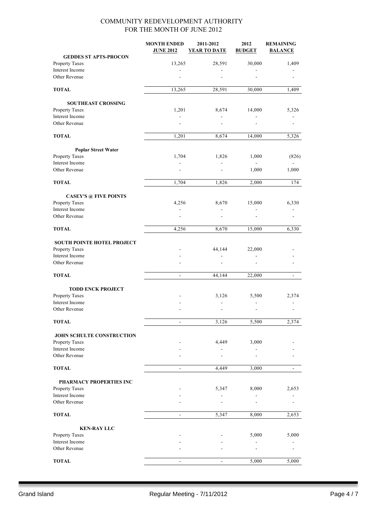|                                  | <b>MONTH ENDED</b><br><b>JUNE 2012</b> | 2011-2012<br><b>YEAR TO DATE</b> | 2012<br><b>BUDGET</b> | <b>REMAINING</b><br><b>BALANCE</b> |
|----------------------------------|----------------------------------------|----------------------------------|-----------------------|------------------------------------|
| <b>GEDDES ST APTS-PROCON</b>     |                                        |                                  |                       |                                    |
| Property Taxes                   | 13,265                                 | 28,591                           | 30,000                | 1,409                              |
| Interest Income<br>Other Revenue |                                        |                                  |                       |                                    |
|                                  |                                        |                                  |                       |                                    |
| <b>TOTAL</b>                     | 13,265                                 | 28,591                           | 30,000                | 1,409                              |
| <b>SOUTHEAST CROSSING</b>        |                                        |                                  |                       |                                    |
| Property Taxes                   | 1,201                                  | 8,674                            | 14,000                | 5,326                              |
| Interest Income                  | $\overline{\phantom{a}}$               | $\overline{\phantom{a}}$         | $\frac{1}{2}$         |                                    |
| Other Revenue                    |                                        |                                  |                       |                                    |
| <b>TOTAL</b>                     | 1,201                                  | 8,674                            | 14,000                | 5,326                              |
| <b>Poplar Street Water</b>       |                                        |                                  |                       |                                    |
| Property Taxes                   | 1,704                                  | 1,826                            | 1,000                 | (826)                              |
| Interest Income                  |                                        |                                  |                       |                                    |
| Other Revenue                    |                                        |                                  | 1,000                 | 1,000                              |
| <b>TOTAL</b>                     | 1,704                                  | 1,826                            | 2,000                 | 174                                |
| <b>CASEY'S @ FIVE POINTS</b>     |                                        |                                  |                       |                                    |
| Property Taxes                   | 4,256                                  | 8,670                            | 15,000                | 6,330                              |
| Interest Income                  |                                        |                                  |                       |                                    |
| Other Revenue                    |                                        |                                  | ÷.                    |                                    |
| <b>TOTAL</b>                     | 4,256                                  | 8,670                            | 15,000                | 6,330                              |
| SOUTH POINTE HOTEL PROJECT       |                                        |                                  |                       |                                    |
| Property Taxes                   |                                        | 44,144                           | 22,000                |                                    |
| Interest Income                  |                                        |                                  |                       |                                    |
| Other Revenue                    |                                        |                                  |                       |                                    |
| <b>TOTAL</b>                     | $\blacksquare$                         | 44,144                           | 22,000                | $\blacksquare$                     |
| <b>TODD ENCK PROJECT</b>         |                                        |                                  |                       |                                    |
| Property Taxes                   |                                        | 3,126                            | 5,500                 | 2,374                              |
| Interest Income                  |                                        |                                  |                       |                                    |
| Other Revenue                    |                                        |                                  | ä,                    |                                    |
| <b>TOTAL</b>                     | $\overline{\phantom{a}}$               | 3,126                            | 5,500                 | 2,374                              |
|                                  |                                        |                                  |                       |                                    |
| <b>JOHN SCHULTE CONSTRUCTION</b> |                                        |                                  |                       |                                    |
| Property Taxes                   |                                        | 4,449                            | 3,000                 |                                    |
| Interest Income<br>Other Revenue |                                        |                                  |                       |                                    |
| <b>TOTAL</b>                     |                                        | 4,449                            | 3,000                 |                                    |
|                                  |                                        |                                  |                       |                                    |
| PHARMACY PROPERTIES INC          |                                        |                                  |                       |                                    |
| Property Taxes                   |                                        | 5,347                            | 8,000                 | 2,653                              |
| Interest Income                  |                                        |                                  |                       |                                    |
| Other Revenue                    |                                        |                                  |                       |                                    |
| <b>TOTAL</b>                     | $\qquad \qquad \blacksquare$           | 5,347                            | 8,000                 | 2,653                              |
| <b>KEN-RAY LLC</b>               |                                        |                                  |                       |                                    |
| Property Taxes                   |                                        |                                  | 5,000                 | 5,000                              |
| Interest Income                  |                                        |                                  |                       |                                    |
| Other Revenue                    |                                        |                                  |                       |                                    |
| <b>TOTAL</b>                     |                                        |                                  | 5,000                 | 5,000                              |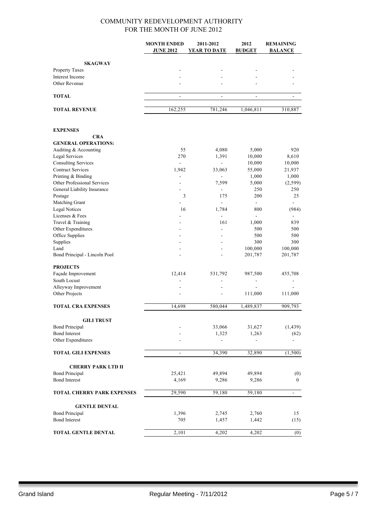|                                       | <b>MONTH ENDED</b><br><b>JUNE 2012</b> | 2011-2012<br><b>YEAR TO DATE</b> | 2012<br><b>BUDGET</b>    | <b>REMAINING</b><br><b>BALANCE</b> |
|---------------------------------------|----------------------------------------|----------------------------------|--------------------------|------------------------------------|
| <b>SKAGWAY</b>                        |                                        |                                  |                          |                                    |
| Property Taxes                        |                                        |                                  |                          |                                    |
| Interest Income                       |                                        |                                  |                          |                                    |
| Other Revenue                         |                                        |                                  |                          |                                    |
| <b>TOTAL</b>                          | $\overline{\phantom{a}}$               | $\qquad \qquad \blacksquare$     | $\overline{\phantom{a}}$ | $\overline{\phantom{a}}$           |
| <b>TOTAL REVENUE</b>                  |                                        |                                  | 1,046,811                |                                    |
|                                       | 162,255                                | 781,246                          |                          | 310,887                            |
| <b>EXPENSES</b>                       |                                        |                                  |                          |                                    |
| <b>CRA</b>                            |                                        |                                  |                          |                                    |
| <b>GENERAL OPERATIONS:</b>            |                                        |                                  |                          |                                    |
| Auditing & Accounting                 | 55                                     | 4,080                            | 5,000                    | 920                                |
| <b>Legal Services</b>                 | 270                                    | 1,391                            | 10,000                   | 8,610                              |
| <b>Consulting Services</b>            | $\blacksquare$                         | L.                               | 10,000                   | 10,000                             |
| <b>Contract Services</b>              | 1,942                                  | 33,063                           | 55,000                   | 21,937                             |
| Printing & Binding                    |                                        | $\overline{a}$                   | 1,000                    | 1,000                              |
| Other Professional Services           | ۰                                      | 7,599                            | 5,000                    | (2, 599)                           |
| General Liability Insurance           |                                        | $\blacksquare$                   | 250                      | 250                                |
| Postage                               | 3                                      | 175                              | 200                      | 25                                 |
| Matching Grant                        |                                        | $\overline{a}$                   | $\blacksquare$           |                                    |
| <b>Legal Notices</b>                  | 16                                     | 1,784                            | 800                      | (984)                              |
| Licenses & Fees                       |                                        | $\overline{a}$                   |                          |                                    |
| Travel & Training                     |                                        | 161                              | 1,000                    | 839                                |
| Other Expenditures                    |                                        | ä,                               | 500                      | 500                                |
| Office Supplies                       |                                        |                                  | 500                      | 500                                |
| Supplies                              |                                        |                                  | 300                      | 300                                |
| Land<br>Bond Principal - Lincoln Pool |                                        |                                  | 100,000<br>201,787       | 100,000<br>201,787                 |
| <b>PROJECTS</b>                       |                                        |                                  |                          |                                    |
| Façade Improvement                    | 12,414                                 | 531,792                          | 987,500                  | 455,708                            |
| South Locust                          |                                        |                                  | $\blacksquare$           |                                    |
| Alleyway Improvement                  |                                        |                                  |                          |                                    |
| Other Projects                        |                                        | $\blacksquare$                   | 111,000                  | 111,000                            |
| <b>TOTAL CRA EXPENSES</b>             | 14,698                                 | 580,044                          | 1,489,837                | 909,793                            |
| <b>GILI TRUST</b>                     |                                        |                                  |                          |                                    |
| <b>Bond Principal</b>                 |                                        | 33,066                           | 31,627                   | (1, 439)                           |
| <b>Bond Interest</b>                  |                                        | 1,325                            | 1,263                    | (62)                               |
| Other Expenditures                    |                                        |                                  |                          |                                    |
| <b>TOTAL GILI EXPENSES</b>            | $\blacksquare$                         | 34,390                           | 32,890                   | (1, 500)                           |
|                                       |                                        |                                  |                          |                                    |
| <b>CHERRY PARK LTD II</b>             |                                        |                                  |                          |                                    |
| <b>Bond Principal</b>                 | 25,421                                 | 49,894                           | 49,894                   | (0)                                |
| <b>Bond Interest</b>                  | 4,169                                  | 9,286                            | 9,286                    | $\mathbf{0}$                       |
| <b>TOTAL CHERRY PARK EXPENSES</b>     | 29,590                                 | 59,180                           | 59,180                   | $\blacksquare$                     |
| <b>GENTLE DENTAL</b>                  |                                        |                                  |                          |                                    |
| <b>Bond Principal</b>                 | 1,396                                  | 2,745                            | 2,760                    | 15                                 |
| <b>Bond Interest</b>                  | 705                                    | 1,457                            | 1,442                    | (15)                               |
| TOTAL GENTLE DENTAL                   | 2,101                                  | 4,202                            | 4,202                    | (0)                                |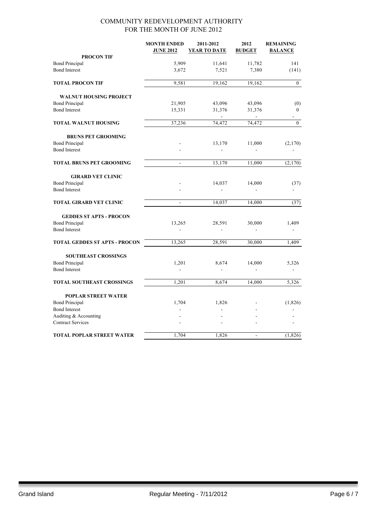|                                      | <b>MONTH ENDED</b><br><b>JUNE 2012</b> | 2011-2012<br><b>YEAR TO DATE</b> | 2012<br><b>BUDGET</b> | <b>REMAINING</b><br><b>BALANCE</b> |
|--------------------------------------|----------------------------------------|----------------------------------|-----------------------|------------------------------------|
| <b>PROCON TIF</b>                    |                                        |                                  |                       |                                    |
| <b>Bond Principal</b>                | 5,909                                  | 11,641                           | 11,782                | 141                                |
| <b>Bond Interest</b>                 | 3,672                                  | 7,521                            | 7,380                 | (141)                              |
| <b>TOTAL PROCON TIF</b>              | 9,581                                  | 19,162                           | 19,162                | $\boldsymbol{0}$                   |
| <b>WALNUT HOUSING PROJECT</b>        |                                        |                                  |                       |                                    |
| <b>Bond Principal</b>                | 21,905                                 | 43,096                           | 43,096                | (0)                                |
| <b>Bond Interest</b>                 | 15,331                                 | 31,376                           | 31,376                | $\boldsymbol{0}$                   |
| TOTAL WALNUT HOUSING                 | 37,236                                 | 74,472                           | 74,472                | $\boldsymbol{0}$                   |
| <b>BRUNS PET GROOMING</b>            |                                        |                                  |                       |                                    |
| <b>Bond Principal</b>                |                                        | 13,170                           | 11,000                | (2,170)                            |
| <b>Bond Interest</b>                 |                                        |                                  |                       |                                    |
| <b>TOTAL BRUNS PET GROOMING</b>      | $\bar{\mathbf{z}}$                     | 13,170                           | 11,000                | (2,170)                            |
| <b>GIRARD VET CLINIC</b>             |                                        |                                  |                       |                                    |
| <b>Bond Principal</b>                |                                        | 14,037                           | 14,000                | (37)                               |
| <b>Bond Interest</b>                 |                                        |                                  |                       |                                    |
| TOTAL GIRARD VET CLINIC              | $\blacksquare$                         | 14,037                           | 14,000                | (37)                               |
| <b>GEDDES ST APTS - PROCON</b>       |                                        |                                  |                       |                                    |
| <b>Bond Principal</b>                | 13,265                                 | 28,591                           | 30,000                | 1,409                              |
| <b>Bond Interest</b>                 |                                        |                                  |                       |                                    |
| <b>TOTAL GEDDES ST APTS - PROCON</b> | 13,265                                 | 28,591                           | 30,000                | 1,409                              |
| <b>SOUTHEAST CROSSINGS</b>           |                                        |                                  |                       |                                    |
| <b>Bond Principal</b>                | 1,201                                  | 8,674                            | 14,000                | 5,326                              |
| <b>Bond Interest</b>                 |                                        |                                  |                       |                                    |
| <b>TOTAL SOUTHEAST CROSSINGS</b>     | 1,201                                  | 8,674                            | 14,000                | 5,326                              |
| <b>POPLAR STREET WATER</b>           |                                        |                                  |                       |                                    |
| <b>Bond Principal</b>                | 1,704                                  | 1,826                            |                       | (1, 826)                           |
| <b>Bond Interest</b>                 |                                        |                                  |                       |                                    |
| Auditing & Accounting                |                                        |                                  |                       |                                    |
| <b>Contract Services</b>             |                                        |                                  |                       |                                    |
| <b>TOTAL POPLAR STREET WATER</b>     | 1,704                                  | 1,826                            | ä,                    | (1, 826)                           |
|                                      |                                        |                                  |                       |                                    |